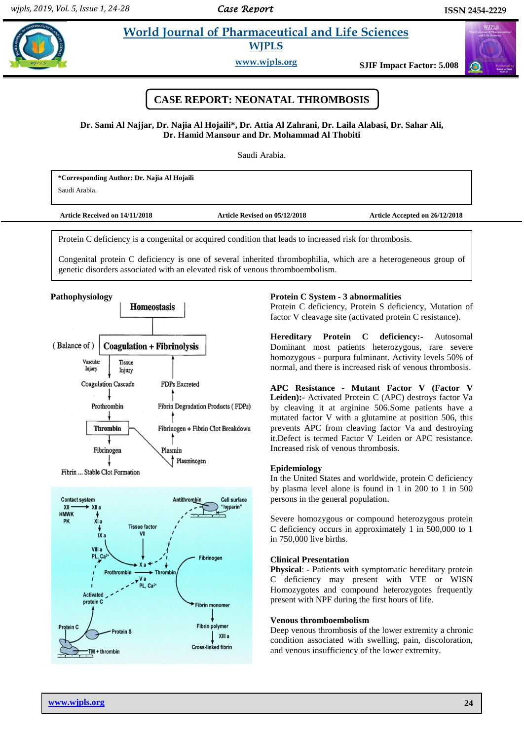$\sigma$ 

# **Hogain** *World Journal of Pharmaceutical and Life Sciences* **WJPLS**

**www.wjpls.org SJIF Impact Factor: 5.008**



# **Dr. Sami Al Najjar, Dr. Najia Al Hojaili\*, Dr. Attia Al Zahrani, Dr. Laila Alabasi, Dr. Sahar Ali, Dr. Hamid Mansour and Dr. Mohammad Al Thobiti**

Saudi Arabia.

**\*Corresponding Author: Dr. Najia Al Hojaili** Saudi Arabia.

| <b>Article Received on 14/11/2018</b> | Article Revised on 05/12/2018 | Article Accepted on 26/12/2018 |
|---------------------------------------|-------------------------------|--------------------------------|
|                                       |                               |                                |

Protein C deficiency is a congenital or acquired condition that leads to increased risk for thrombosis.

Congenital protein C deficiency is one of several inherited thrombophilia, which are a heterogeneous group of genetic disorders associated with an elevated risk of venous thromboembolism.





Protein C deficiency, Protein S deficiency, Mutation of factor V cleavage site (activated protein C resistance).

**Hereditary Protein C deficiency:-** Autosomal Dominant most patients heterozygous, rare severe homozygous - purpura fulminant. Activity levels 50% of normal, and there is increased risk of venous thrombosis.

**APC Resistance - Mutant Factor V (Factor V Leiden):-** Activated Protein C (APC) destroys factor Va by cleaving it at arginine 506.Some patients have a mutated factor V with a glutamine at position 506, this prevents APC from cleaving factor Va and destroying it.Defect is termed Factor V Leiden or APC resistance. Increased risk of venous thrombosis.

# **Epidemiology**

In the United States and worldwide, protein C deficiency by plasma level alone is found in 1 in 200 to 1 in 500 persons in the general population.

Severe homozygous or compound heterozygous protein C deficiency occurs in approximately 1 in 500,000 to 1 in 750,000 live births.

#### **Clinical Presentation**

**Physical**: - Patients with symptomatic hereditary protein C deficiency may present with VTE or WISN Homozygotes and compound heterozygotes frequently present with NPF during the first hours of life.

# **Venous thromboembolism**

Deep venous thrombosis of the lower extremity a chronic condition associated with swelling, pain, discoloration, and venous insufficiency of the lower extremity.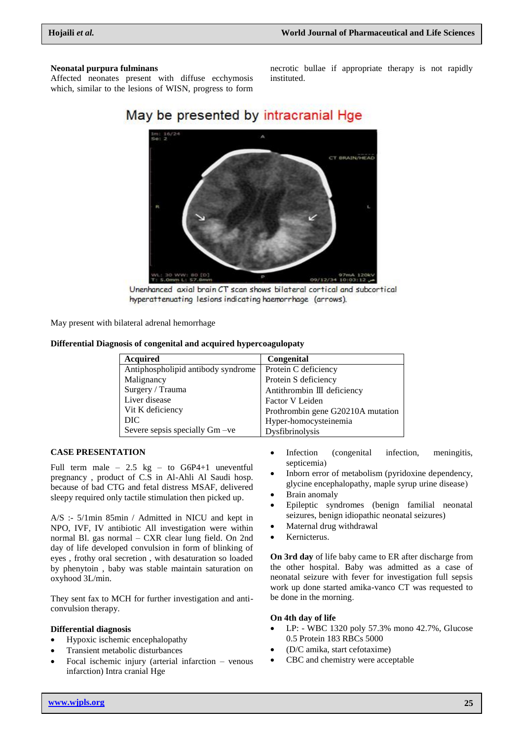#### **Neonatal purpura fulminans**

Affected neonates present with diffuse ecchymosis which, similar to the lesions of WISN, progress to form

necrotic bullae if appropriate therapy is not rapidly instituted.

# May be presented by intracranial Hge



Unenhanced axial brain CT scan shows bilateral cortical and subcortical hyperattenuating lesions indicating haemorrhage (arrows).

May present with bilateral adrenal hemorrhage

# **Differential Diagnosis of congenital and acquired hypercoagulopaty**

| <b>Acquired</b>                    | Congenital                        |
|------------------------------------|-----------------------------------|
| Antiphospholipid antibody syndrome | Protein C deficiency              |
| Malignancy                         | Protein S deficiency              |
| Surgery / Trauma                   | Antithrombin III deficiency       |
| Liver disease                      | Factor V Leiden                   |
| Vit K deficiency                   | Prothrombin gene G20210A mutation |
| DIC.                               | Hyper-homocysteinemia             |
| Severe sepsis specially Gm -ve     | Dysfibrinolysis                   |

# **CASE PRESENTATION**

Full term male  $-2.5$  kg  $-$  to G6P4+1 uneventful pregnancy , product of C.S in Al-Ahli Al Saudi hosp. because of bad CTG and fetal distress MSAF, delivered sleepy required only tactile stimulation then picked up.

A/S :- 5/1min 85min / Admitted in NICU and kept in NPO, IVF, IV antibiotic All investigation were within normal Bl. gas normal – CXR clear lung field. On 2nd day of life developed convulsion in form of blinking of eyes , frothy oral secretion , with desaturation so loaded by phenytoin , baby was stable maintain saturation on oxyhood 3L/min.

They sent fax to MCH for further investigation and anticonvulsion therapy.

### **Differential diagnosis**

- Hypoxic ischemic encephalopathy
- Transient metabolic disturbances
- Focal ischemic injury (arterial infarction venous infarction) Intra cranial Hge
- Infection (congenital infection, meningitis, septicemia)
- Inborn error of metabolism (pyridoxine dependency, glycine encephalopathy, maple syrup urine disease)
- Brain anomaly
- Epileptic syndromes (benign familial neonatal seizures, benign idiopathic neonatal seizures)
- Maternal drug withdrawal
- Kernicterus.

**On 3rd day** of life baby came to ER after discharge from the other hospital. Baby was admitted as a case of neonatal seizure with fever for investigation full sepsis work up done started amika-vanco CT was requested to be done in the morning.

#### **On 4th day of life**

- LP: WBC 1320 poly 57.3% mono 42.7%, Glucose 0.5 Protein 183 RBCs 5000
- (D/C amika, start cefotaxime)
- CBC and chemistry were acceptable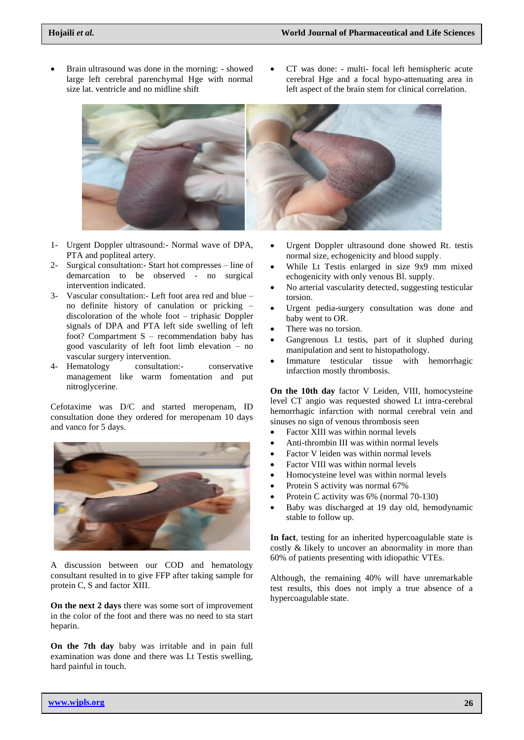- Brain ultrasound was done in the morning: showed large left cerebral parenchymal Hge with normal size lat. ventricle and no midline shift
- CT was done: multi- focal left hemispheric acute cerebral Hge and a focal hypo-attenuating area in left aspect of the brain stem for clinical correlation.



- 1- Urgent Doppler ultrasound:- Normal wave of DPA, PTA and popliteal artery.
- 2- Surgical consultation:- Start hot compresses line of demarcation to be observed - no surgical intervention indicated.
- 3- Vascular consultation:- Left foot area red and blue no definite history of canulation or pricking – discoloration of the whole foot – triphasic Doppler signals of DPA and PTA left side swelling of left foot? Compartment S – recommendation baby has good vascularity of left foot limb elevation – no vascular surgery intervention.
- 4- Hematology consultation:- conservative management like warm fomentation and put nitroglycerine.

Cefotaxime was D/C and started meropenam, ID consultation done they ordered for meropenam 10 days and vanco for 5 days.



A discussion between our COD and hematology consultant resulted in to give FFP after taking sample for protein C, S and factor XIII.

**On the next 2 days** there was some sort of improvement in the color of the foot and there was no need to sta start heparin.

**On the 7th day** baby was irritable and in pain full examination was done and there was Lt Testis swelling, hard painful in touch.

- Urgent Doppler ultrasound done showed Rt. testis normal size, echogenicity and blood supply.
- While Lt Testis enlarged in size 9x9 mm mixed echogenicity with only venous Bl. supply.
- No arterial vascularity detected, suggesting testicular torsion.
- Urgent pedia-surgery consultation was done and baby went to OR.
- There was no torsion.
- Gangrenous Lt testis, part of it sluphed during manipulation and sent to histopathology.
- Immature testicular tissue with hemorrhagic infarction mostly thrombosis.

**On the 10th day** factor V Leiden, VIII, homocysteine level CT angio was requested showed Lt intra-cerebral hemorrhagic infarction with normal cerebral vein and sinuses no sign of venous thrombosis seen

- Factor XIII was within normal levels
- Anti-thrombin III was within normal levels
- Factor V leiden was within normal levels
- Factor VIII was within normal levels
- Homocysteine level was within normal levels
- Protein S activity was normal 67%
- Protein C activity was 6% (normal 70-130)
- Baby was discharged at 19 day old, hemodynamic stable to follow up.

**In fact**, testing for an inherited hypercoagulable state is costly & likely to uncover an abnormality in more than 60% of patients presenting with idiopathic VTEs.

Although, the remaining 40% will have unremarkable test results, this does not imply a true absence of a hypercoagulable state.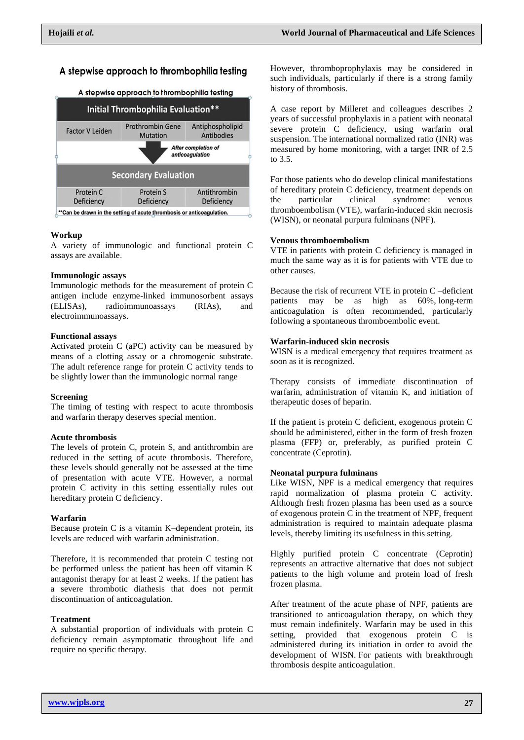# A stepwise approach to thrombophilia testing

#### A stepwise approach to thrombophilia testing



#### **Workup**

A variety of immunologic and functional protein C assays are available.

#### **Immunologic assays**

Immunologic methods for the measurement of protein C antigen include enzyme-linked immunosorbent assays (ELISAs), radioimmunoassays (RIAs), and electroimmunoassays.

#### **Functional assays**

Activated protein C (aPC) activity can be measured by means of a clotting assay or a chromogenic substrate. The adult reference range for protein C activity tends to be slightly lower than the immunologic normal range

#### **Screening**

The timing of testing with respect to acute thrombosis and warfarin therapy deserves special mention.

#### **Acute thrombosis**

The levels of protein C, protein S, and antithrombin are reduced in the setting of acute thrombosis. Therefore, these levels should generally not be assessed at the time of presentation with acute VTE. However, a normal protein C activity in this setting essentially rules out hereditary protein C deficiency.

#### **Warfarin**

Because protein C is a vitamin K–dependent protein, its levels are reduced with warfarin administration.

Therefore, it is recommended that protein C testing not be performed unless the patient has been off vitamin K antagonist therapy for at least 2 weeks. If the patient has a severe thrombotic diathesis that does not permit discontinuation of anticoagulation.

# **Treatment**

A substantial proportion of individuals with protein C deficiency remain asymptomatic throughout life and require no specific therapy.

However, thromboprophylaxis may be considered in such individuals, particularly if there is a strong family history of thrombosis.

A case report by Milleret and colleagues describes 2 years of successful prophylaxis in a patient with neonatal severe protein C deficiency, using warfarin oral suspension. The international normalized ratio (INR) was measured by home monitoring, with a target INR of 2.5 to 3.5.

For those patients who do develop clinical manifestations of hereditary protein C deficiency, treatment depends on the particular clinical syndrome: venous thromboembolism (VTE), warfarin-induced skin necrosis (WISN), or neonatal purpura fulminans (NPF).

#### **Venous thromboembolism**

VTE in patients with protein C deficiency is managed in much the same way as it is for patients with VTE due to other causes.

Because the risk of recurrent VTE in protein C –deficient patients may be as high as 60%, long-term anticoagulation is often recommended, particularly following a spontaneous thromboembolic event.

#### **Warfarin-induced skin necrosis**

WISN is a medical emergency that requires treatment as soon as it is recognized.

Therapy consists of immediate discontinuation of warfarin, administration of vitamin K, and initiation of therapeutic doses of heparin.

If the patient is protein C deficient, exogenous protein C should be administered, either in the form of fresh frozen plasma (FFP) or, preferably, as purified protein C concentrate (Ceprotin).

#### **Neonatal purpura fulminans**

Like WISN, NPF is a medical emergency that requires rapid normalization of plasma protein C activity. Although fresh frozen plasma has been used as a source of exogenous protein C in the treatment of NPF, frequent administration is required to maintain adequate plasma levels, thereby limiting its usefulness in this setting.

Highly purified protein C concentrate (Ceprotin) represents an attractive alternative that does not subject patients to the high volume and protein load of fresh frozen plasma.

After treatment of the acute phase of NPF, patients are transitioned to anticoagulation therapy, on which they must remain indefinitely. Warfarin may be used in this setting, provided that exogenous protein C is administered during its initiation in order to avoid the development of WISN. For patients with breakthrough thrombosis despite anticoagulation.